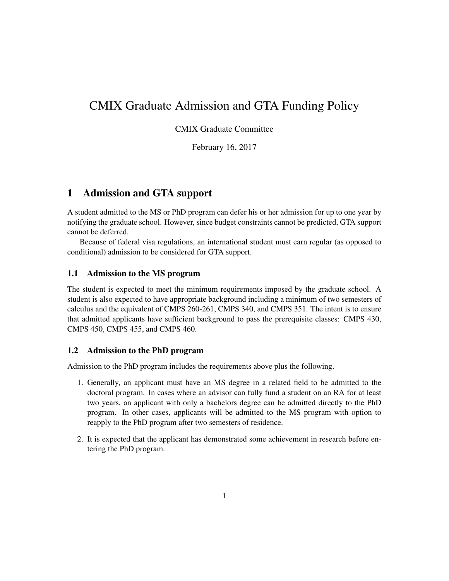# CMIX Graduate Admission and GTA Funding Policy

CMIX Graduate Committee

February 16, 2017

## 1 Admission and GTA support

A student admitted to the MS or PhD program can defer his or her admission for up to one year by notifying the graduate school. However, since budget constraints cannot be predicted, GTA support cannot be deferred.

Because of federal visa regulations, an international student must earn regular (as opposed to conditional) admission to be considered for GTA support.

#### 1.1 Admission to the MS program

The student is expected to meet the minimum requirements imposed by the graduate school. A student is also expected to have appropriate background including a minimum of two semesters of calculus and the equivalent of CMPS 260-261, CMPS 340, and CMPS 351. The intent is to ensure that admitted applicants have sufficient background to pass the prerequisite classes: CMPS 430, CMPS 450, CMPS 455, and CMPS 460.

#### 1.2 Admission to the PhD program

Admission to the PhD program includes the requirements above plus the following.

- 1. Generally, an applicant must have an MS degree in a related field to be admitted to the doctoral program. In cases where an advisor can fully fund a student on an RA for at least two years, an applicant with only a bachelors degree can be admitted directly to the PhD program. In other cases, applicants will be admitted to the MS program with option to reapply to the PhD program after two semesters of residence.
- 2. It is expected that the applicant has demonstrated some achievement in research before entering the PhD program.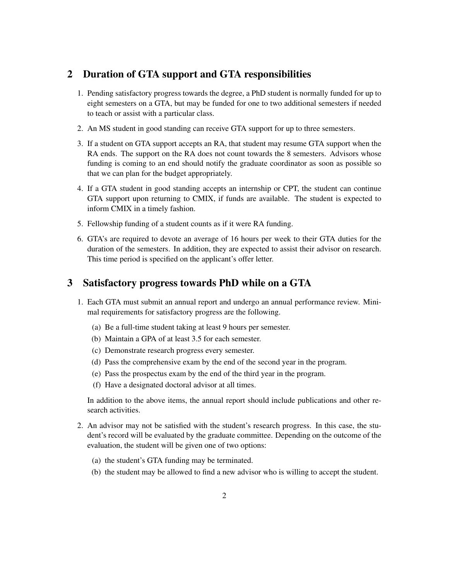### 2 Duration of GTA support and GTA responsibilities

- 1. Pending satisfactory progress towards the degree, a PhD student is normally funded for up to eight semesters on a GTA, but may be funded for one to two additional semesters if needed to teach or assist with a particular class.
- 2. An MS student in good standing can receive GTA support for up to three semesters.
- 3. If a student on GTA support accepts an RA, that student may resume GTA support when the RA ends. The support on the RA does not count towards the 8 semesters. Advisors whose funding is coming to an end should notify the graduate coordinator as soon as possible so that we can plan for the budget appropriately.
- 4. If a GTA student in good standing accepts an internship or CPT, the student can continue GTA support upon returning to CMIX, if funds are available. The student is expected to inform CMIX in a timely fashion.
- 5. Fellowship funding of a student counts as if it were RA funding.
- 6. GTA's are required to devote an average of 16 hours per week to their GTA duties for the duration of the semesters. In addition, they are expected to assist their advisor on research. This time period is specified on the applicant's offer letter.

### 3 Satisfactory progress towards PhD while on a GTA

- 1. Each GTA must submit an annual report and undergo an annual performance review. Minimal requirements for satisfactory progress are the following.
	- (a) Be a full-time student taking at least 9 hours per semester.
	- (b) Maintain a GPA of at least 3.5 for each semester.
	- (c) Demonstrate research progress every semester.
	- (d) Pass the comprehensive exam by the end of the second year in the program.
	- (e) Pass the prospectus exam by the end of the third year in the program.
	- (f) Have a designated doctoral advisor at all times.

In addition to the above items, the annual report should include publications and other research activities.

- 2. An advisor may not be satisfied with the student's research progress. In this case, the student's record will be evaluated by the graduate committee. Depending on the outcome of the evaluation, the student will be given one of two options:
	- (a) the student's GTA funding may be terminated.
	- (b) the student may be allowed to find a new advisor who is willing to accept the student.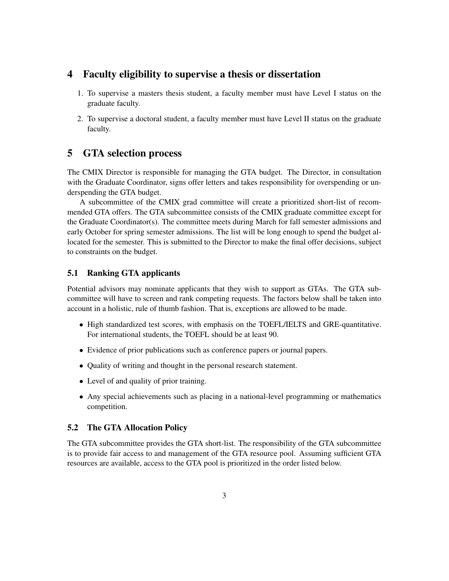### 4 Faculty eligibility to supervise a thesis or dissertation

- 1. To supervise a masters thesis student, a faculty member must have Level I status on the graduate faculty.
- 2. To supervise a doctoral student, a faculty member must have Level II status on the graduate faculty.

#### 5 GTA selection process

The CMIX Director is responsible for managing the GTA budget. The Director, in consultation with the Graduate Coordinator, signs offer letters and takes responsibility for overspending or underspending the GTA budget.

A subcommittee of the CMIX grad committee will create a prioritized short-list of recommended GTA offers. The GTA subcommittee consists of the CMIX graduate committee except for the Graduate Coordinator(s). The committee meets during March for fall semester admissions and early October for spring semester admissions. The list will be long enough to spend the budget allocated for the semester. This is submitted to the Director to make the final offer decisions, subject to constraints on the budget.

#### 5.1 Ranking GTA applicants

Potential advisors may nominate applicants that they wish to support as GTAs. The GTA subcommittee will have to screen and rank competing requests. The factors below shall be taken into account in a holistic, rule of thumb fashion. That is, exceptions are allowed to be made.

- High standardized test scores, with emphasis on the TOEFL/IELTS and GRE-quantitative. For international students, the TOEFL should be at least 90.
- Evidence of prior publications such as conference papers or journal papers.
- Quality of writing and thought in the personal research statement.
- Level of and quality of prior training.
- Any special achievements such as placing in a national-level programming or mathematics competition.

#### 5.2 The GTA Allocation Policy

The GTA subcommittee provides the GTA short-list. The responsibility of the GTA subcommittee is to provide fair access to and management of the GTA resource pool. Assuming sufficient GTA resources are available, access to the GTA pool is prioritized in the order listed below.